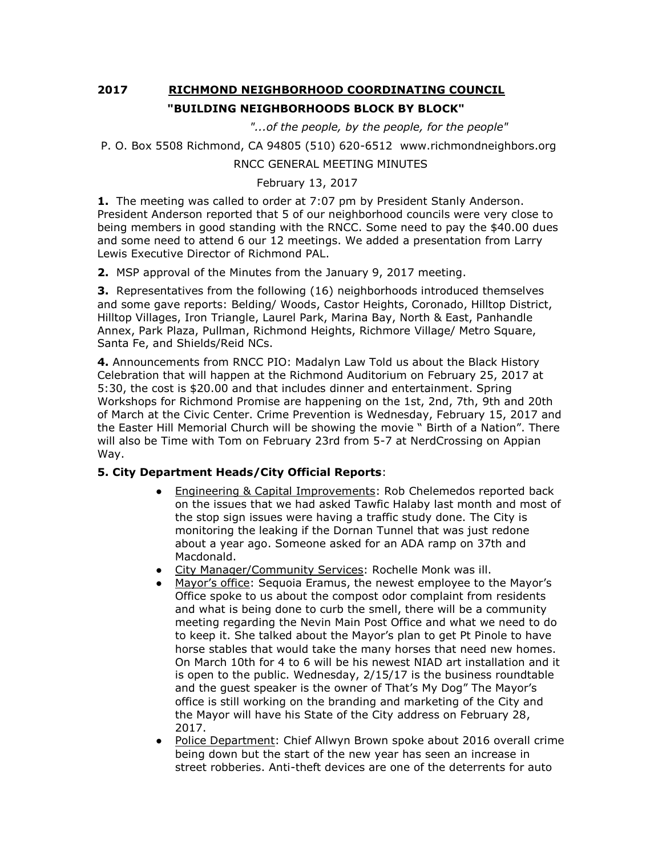## **2017 RICHMOND NEIGHBORHOOD COORDINATING COUNCIL "BUILDING NEIGHBORHOODS BLOCK BY BLOCK"**

 *"...of the people, by the people, for the people"*

```
P. O. Box 5508 Richmond, CA 94805 (510) 620-6512 www.richmondneighbors.org
```
## RNCC GENERAL MEETING MINUTES

## February 13, 2017

**1.** The meeting was called to order at 7:07 pm by President Stanly Anderson. President Anderson reported that 5 of our neighborhood councils were very close to being members in good standing with the RNCC. Some need to pay the \$40.00 dues and some need to attend 6 our 12 meetings. We added a presentation from Larry Lewis Executive Director of Richmond PAL.

**2.** MSP approval of the Minutes from the January 9, 2017 meeting.

**3.** Representatives from the following (16) neighborhoods introduced themselves and some gave reports: Belding/ Woods, Castor Heights, Coronado, Hilltop District, Hilltop Villages, Iron Triangle, Laurel Park, Marina Bay, North & East, Panhandle Annex, Park Plaza, Pullman, Richmond Heights, Richmore Village/ Metro Square, Santa Fe, and Shields/Reid NCs.

**4.** Announcements from RNCC PIO: Madalyn Law Told us about the Black History Celebration that will happen at the Richmond Auditorium on February 25, 2017 at 5:30, the cost is \$20.00 and that includes dinner and entertainment. Spring Workshops for Richmond Promise are happening on the 1st, 2nd, 7th, 9th and 20th of March at the Civic Center. Crime Prevention is Wednesday, February 15, 2017 and the Easter Hill Memorial Church will be showing the movie " Birth of a Nation". There will also be Time with Tom on February 23rd from 5-7 at NerdCrossing on Appian Way.

## **5. City Department Heads/City Official Reports**:

- Engineering & Capital Improvements: Rob Chelemedos reported back on the issues that we had asked Tawfic Halaby last month and most of the stop sign issues were having a traffic study done. The City is monitoring the leaking if the Dornan Tunnel that was just redone about a year ago. Someone asked for an ADA ramp on 37th and Macdonald.
- City Manager/Community Services: Rochelle Monk was ill.
- Mayor's office: Sequoia Eramus, the newest employee to the Mayor's Office spoke to us about the compost odor complaint from residents and what is being done to curb the smell, there will be a community meeting regarding the Nevin Main Post Office and what we need to do to keep it. She talked about the Mayor's plan to get Pt Pinole to have horse stables that would take the many horses that need new homes. On March 10th for 4 to 6 will be his newest NIAD art installation and it is open to the public. Wednesday, 2/15/17 is the business roundtable and the guest speaker is the owner of That's My Dog" The Mayor's office is still working on the branding and marketing of the City and the Mayor will have his State of the City address on February 28, 2017.
- Police Department: Chief Allwyn Brown spoke about 2016 overall crime being down but the start of the new year has seen an increase in street robberies. Anti-theft devices are one of the deterrents for auto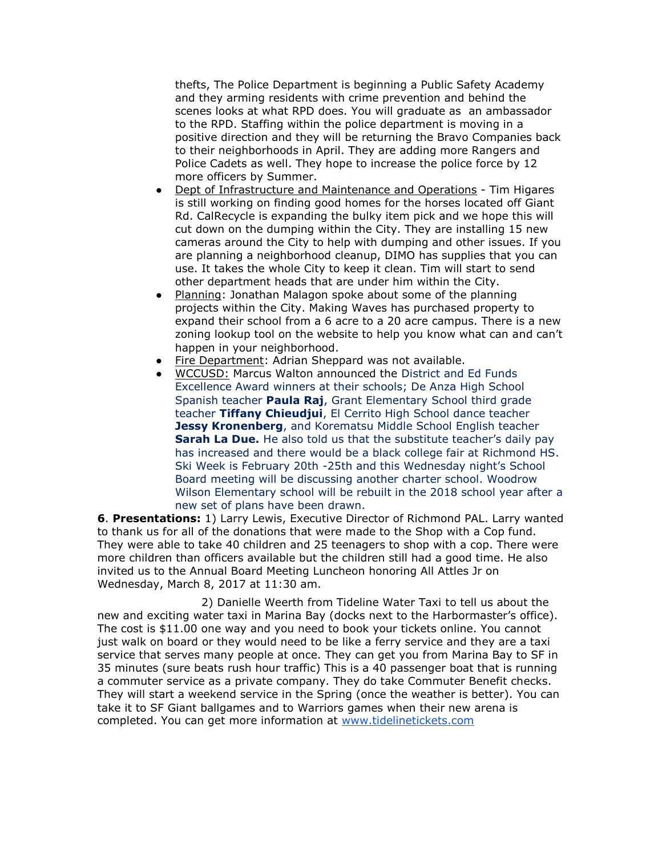thefts, The Police Department is beginning a Public Safety Academy and they arming residents with crime prevention and behind the scenes looks at what RPD does. You will graduate as an ambassador to the RPD. Staffing within the police department is moving in a positive direction and they will be returning the Bravo Companies back to their neighborhoods in April. They are adding more Rangers and Police Cadets as well. They hope to increase the police force by 12 more officers by Summer.

- Dept of Infrastructure and Maintenance and Operations Tim Higares is still working on finding good homes for the horses located off Giant Rd. CalRecycle is expanding the bulky item pick and we hope this will cut down on the dumping within the City. They are installing 15 new cameras around the City to help with dumping and other issues. If you are planning a neighborhood cleanup, DIMO has supplies that you can use. It takes the whole City to keep it clean. Tim will start to send other department heads that are under him within the City.
- Planning: Jonathan Malagon spoke about some of the planning projects within the City. Making Waves has purchased property to expand their school from a 6 acre to a 20 acre campus. There is a new zoning lookup tool on the website to help you know what can and can't happen in your neighborhood.
- Fire Department: Adrian Sheppard was not available.
- WCCUSD: Marcus Walton announced the District and Ed Funds Excellence Award winners at their schools; De Anza High School Spanish teacher **Paula Raj**, Grant Elementary School third grade teacher **Tiffany Chieudjui**, El Cerrito High School dance teacher **Jessy Kronenberg**, and Korematsu Middle School English teacher **Sarah La Due.** He also told us that the substitute teacher's daily pay has increased and there would be a black college fair at Richmond HS. Ski Week is February 20th -25th and this Wednesday night's School Board meeting will be discussing another charter school. Woodrow Wilson Elementary school will be rebuilt in the 2018 school year after a new set of plans have been drawn.

**6**. **Presentations:** 1) Larry Lewis, Executive Director of Richmond PAL. Larry wanted to thank us for all of the donations that were made to the Shop with a Cop fund. They were able to take 40 children and 25 teenagers to shop with a cop. There were more children than officers available but the children still had a good time. He also invited us to the Annual Board Meeting Luncheon honoring All Attles Jr on Wednesday, March 8, 2017 at 11:30 am.

 2) Danielle Weerth from Tideline Water Taxi to tell us about the new and exciting water taxi in Marina Bay (docks next to the Harbormaster's office). The cost is \$11.00 one way and you need to book your tickets online. You cannot just walk on board or they would need to be like a ferry service and they are a taxi service that serves many people at once. They can get you from Marina Bay to SF in 35 minutes (sure beats rush hour traffic) This is a 40 passenger boat that is running a commuter service as a private company. They do take Commuter Benefit checks. They will start a weekend service in the Spring (once the weather is better). You can take it to SF Giant ballgames and to Warriors games when their new arena is completed. You can get more information at [www.tidelinetickets.com](http://www.tidelinetickets.com/)